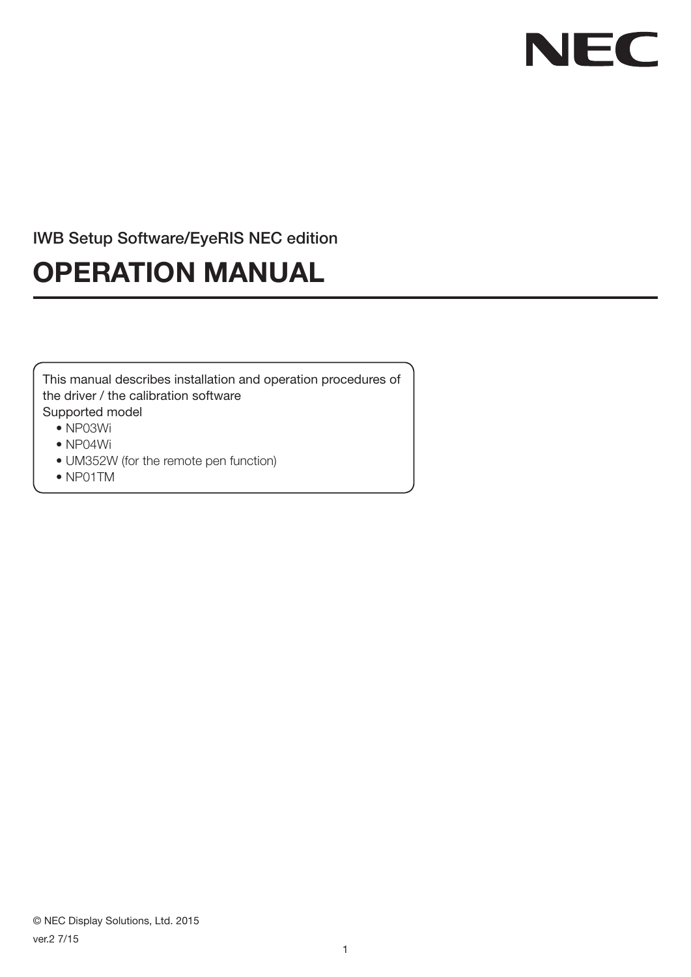# NEC

### IWB Setup Software/EyeRIS NEC edition

## **OPERATION MANUAL**

This manual describes installation and operation procedures of the driver / the calibration software Supported model

- NP03Wi
- NP04Wi
- UM352W (for the remote pen function)
- NP01TM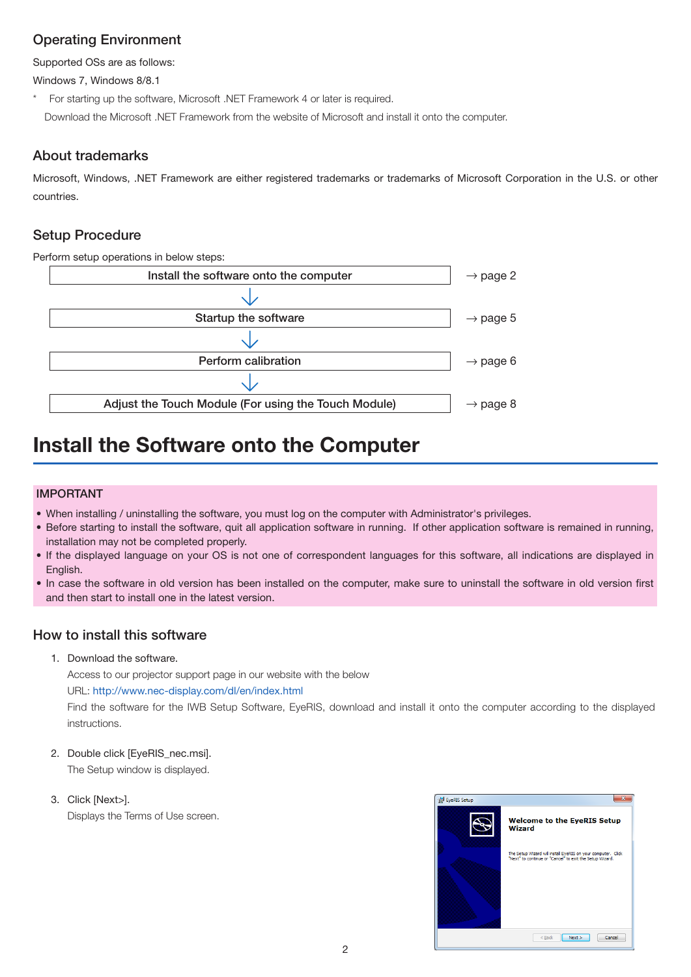#### Operating Environment

Supported OSs are as follows:

Windows 7, Windows 8/8.1

For starting up the software, Microsoft .NET Framework 4 or later is required. Download the Microsoft .NET Framework from the website of Microsoft and install it onto the computer.

#### About trademarks

Microsoft, Windows, .NET Framework are either registered trademarks or trademarks of Microsoft Corporation in the U.S. or other countries.

#### Setup Procedure

Perform setup operations in below steps:



## **Install the Software onto the Computer**

#### IMPORTANT

- When installing / uninstalling the software, you must log on the computer with Administrator's privileges.
- Before starting to install the software, quit all application software in running. If other application software is remained in running, installation may not be completed properly.
- • If the displayed language on your OS is not one of correspondent languages for this software, all indications are displayed in English.
- • In case the software in old version has been installed on the computer, make sure to uninstall the software in old version first and then start to install one in the latest version.

#### How to install this software

1. Download the software.

Access to our projector support page in our website with the below

#### URL: http://www.nec-display.com/dl/en/index.html

Find the software for the IWB Setup Software, EyeRIS, download and install it onto the computer according to the displayed instructions.

- 2. Double click [EyeRIS\_nec.msi]. The Setup window is displayed.
- 3. Click [Next>]. Displays the Terms of Use screen.

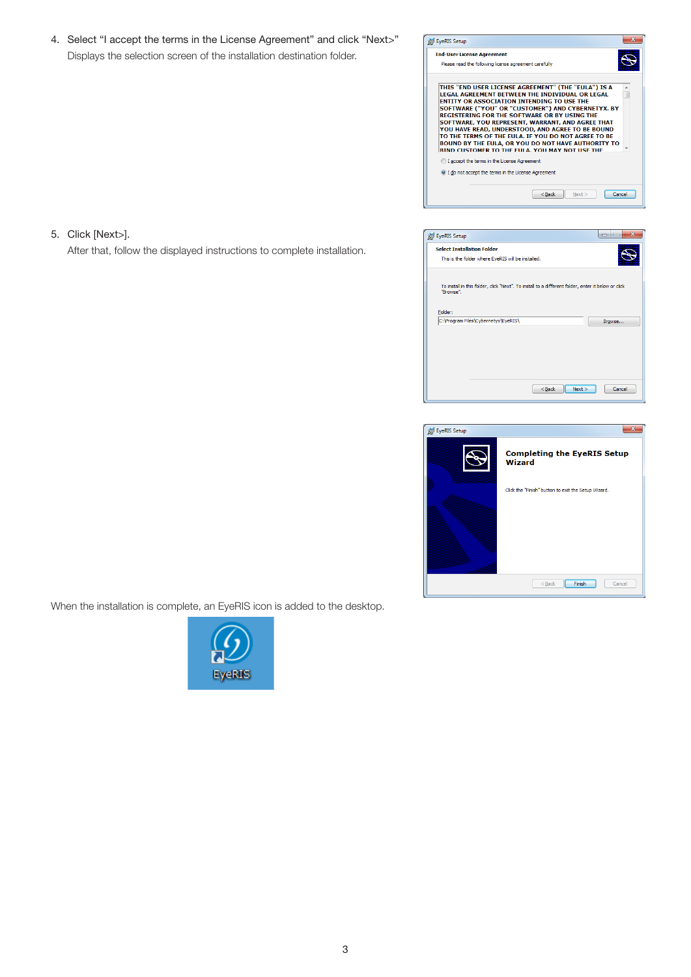4. Select "I accept the terms in the License Agreement" and click "Next>" Displays the selection screen of the installation destination folder.

After that, follow the displayed instructions to complete installation.

5. Click [Next>].



| <b>id</b> EyeRIS Setup                                                                                         |  | $\overline{\mathbf{x}}$<br>امال ص |
|----------------------------------------------------------------------------------------------------------------|--|-----------------------------------|
| <b>Select Installation Folder</b>                                                                              |  |                                   |
| This is the folder where EyeRIS will be installed.                                                             |  |                                   |
| To install in this folder, dick "Next". To install to a different folder, enter it below or click<br>"Browse". |  |                                   |
| Folder:                                                                                                        |  |                                   |
|                                                                                                                |  |                                   |
| C:\Program Files\Cybernetyx\EyeRIS\                                                                            |  | Browse                            |
|                                                                                                                |  |                                   |
|                                                                                                                |  |                                   |
|                                                                                                                |  |                                   |
|                                                                                                                |  |                                   |



When the installation is complete, an EyeRIS icon is added to the desktop.

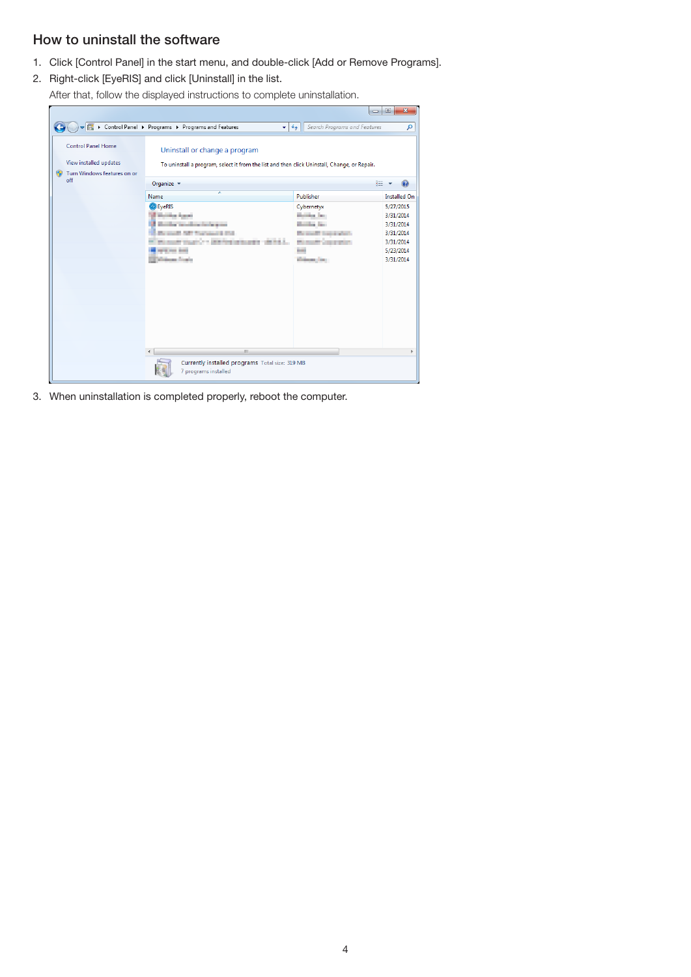#### How to uninstall the software

- 1. Click [Control Panel] in the start menu, and double-click [Add or Remove Programs].
- 2. Right-click [EyeRIS] and click [Uninstall] in the list.
	- After that, follow the displayed instructions to complete uninstallation.

|                                                                                                        |                                                                                                                               |                                     | $\begin{array}{c c c c c} \hline \multicolumn{3}{c }{\textbf{0}} & \multicolumn{3}{c }{\textbf{0}} \\\hline \multicolumn{3}{c }{\textbf{0}} & \multicolumn{3}{c }{\textbf{0}} \end{array}$<br>x |
|--------------------------------------------------------------------------------------------------------|-------------------------------------------------------------------------------------------------------------------------------|-------------------------------------|-------------------------------------------------------------------------------------------------------------------------------------------------------------------------------------------------|
|                                                                                                        | Vertical Dentrol Panel Di Programs Di Programs and Features<br>▾╎                                                             | Search Programs and Features<br>$+$ | م                                                                                                                                                                                               |
| <b>Control Panel Home</b><br>View installed updates<br>Turn Windows features on or<br>$\bullet$<br>off | Uninstall or change a program<br>To uninstall a program, select it from the list and then click Uninstall, Change, or Repair. |                                     |                                                                                                                                                                                                 |
|                                                                                                        | Organize v                                                                                                                    |                                     | 胆                                                                                                                                                                                               |
|                                                                                                        | ×<br>Name                                                                                                                     | Publisher                           | <b>Installed On</b>                                                                                                                                                                             |
|                                                                                                        | <b>O</b> EyeRIS                                                                                                               | Cybernetyx                          | 5/27/2015                                                                                                                                                                                       |
|                                                                                                        | <b>Market Agent</b>                                                                                                           | <b>Service Text</b>                 | 3/31/2014                                                                                                                                                                                       |
|                                                                                                        | a consideration in the                                                                                                        |                                     | 3/31/2014                                                                                                                                                                                       |
|                                                                                                        | Court Street<br><b>HALL</b>                                                                                                   | <b>Britannica</b><br><b>BELLER</b>  | 3/31/2014<br>3/31/2014                                                                                                                                                                          |
|                                                                                                        | <b>ANTI CAR BOAT</b>                                                                                                          | m                                   | 5/23/2014                                                                                                                                                                                       |
|                                                                                                        | en forte                                                                                                                      | <b>Shipper Corp.</b>                | 3/31/2014                                                                                                                                                                                       |
|                                                                                                        |                                                                                                                               |                                     |                                                                                                                                                                                                 |
|                                                                                                        |                                                                                                                               |                                     |                                                                                                                                                                                                 |
|                                                                                                        |                                                                                                                               |                                     |                                                                                                                                                                                                 |
|                                                                                                        |                                                                                                                               |                                     |                                                                                                                                                                                                 |
|                                                                                                        |                                                                                                                               |                                     |                                                                                                                                                                                                 |
|                                                                                                        |                                                                                                                               |                                     |                                                                                                                                                                                                 |
|                                                                                                        |                                                                                                                               |                                     |                                                                                                                                                                                                 |
|                                                                                                        |                                                                                                                               |                                     |                                                                                                                                                                                                 |
|                                                                                                        | m.<br>$\overline{a}$                                                                                                          |                                     | ħ                                                                                                                                                                                               |
|                                                                                                        | Currently installed programs Total size: 319 MB                                                                               |                                     |                                                                                                                                                                                                 |
|                                                                                                        | 7 programs installed                                                                                                          |                                     |                                                                                                                                                                                                 |

3. When uninstallation is completed properly, reboot the computer.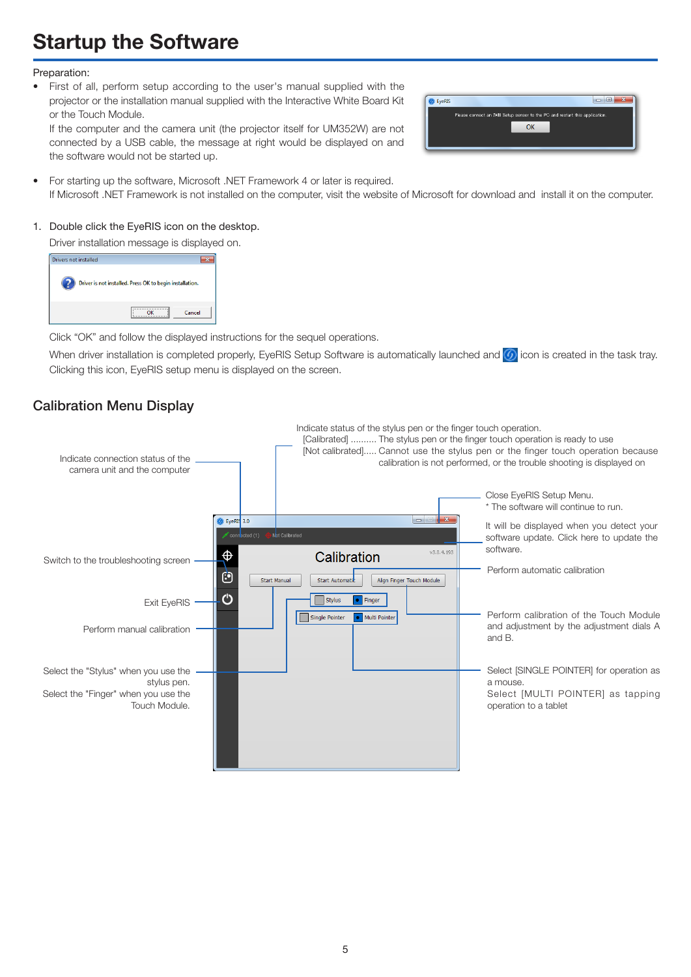## **Startup the Software**

#### Preparation:

• First of all, perform setup according to the user's manual supplied with the projector or the installation manual supplied with the Interactive White Board Kit or the Touch Module.

If the computer and the camera unit (the projector itself for UM352W) are not connected by a USB cable, the message at right would be displayed on and the software would not be started up.

| Please connect an IWB Setup sensor to the PC and restart this application. |
|----------------------------------------------------------------------------|
| ΩK                                                                         |
|                                                                            |
|                                                                            |

• For starting up the software, Microsoft .NET Framework 4 or later is required. If Microsoft .NET Framework is not installed on the computer, visit the website of Microsoft for download and install it on the computer.

#### 1. Double click the EyeRIS icon on the desktop.

Driver installation message is displayed on.

| Drivers not installed |                                                          |
|-----------------------|----------------------------------------------------------|
|                       | Driver is not installed. Press OK to begin installation. |
|                       | Cancel                                                   |

Click "OK" and follow the displayed instructions for the sequel operations.

When driver installation is completed properly, EveRIS Setup Software is automatically launched and  $\bigcirc$  icon is created in the task tray. Clicking this icon, EyeRIS setup menu is displayed on the screen.

#### Calibration Menu Display

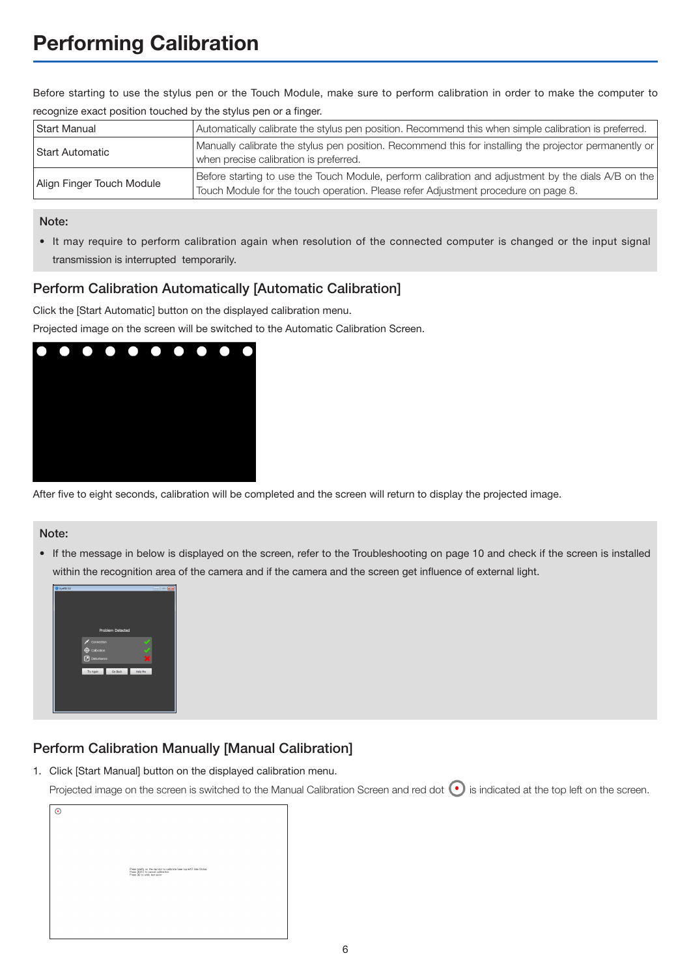Before starting to use the stylus pen or the Touch Module, make sure to perform calibration in order to make the computer to recognize exact position touched by the stylus pen or a finger.

| Start Manual              | Automatically calibrate the stylus pen position. Recommend this when simple calibration is preferred.                                                                                     |
|---------------------------|-------------------------------------------------------------------------------------------------------------------------------------------------------------------------------------------|
| Start Automatic           | Manually calibrate the stylus pen position. Recommend this for installing the projector permanently or<br>when precise calibration is preferred.                                          |
| Align Finger Touch Module | Before starting to use the Touch Module, perform calibration and adjustment by the dials A/B on the<br>Touch Module for the touch operation. Please refer Adjustment procedure on page 8. |

#### Note:

• It may require to perform calibration again when resolution of the connected computer is changed or the input signal transmission is interrupted temporarily.

#### Perform Calibration Automatically [Automatic Calibration]

Click the [Start Automatic] button on the displayed calibration menu.

Projected image on the screen will be switched to the Automatic Calibration Screen.



After five to eight seconds, calibration will be completed and the screen will return to display the projected image.

#### Note:

• If the message in below is displayed on the screen, refer to the Troubleshooting on page 10 and check if the screen is installed within the recognition area of the camera and if the camera and the screen get influence of external light.



#### Perform Calibration Manually [Manual Calibration]

1. Click [Start Manual] button on the displayed calibration menu.

Projected image on the screen is switched to the Manual Calibration Screen and red dot  $\bullet$  is indicated at the top left on the screen.

| ⊙ |                                                                                                                                            |
|---|--------------------------------------------------------------------------------------------------------------------------------------------|
|   |                                                                                                                                            |
|   |                                                                                                                                            |
|   |                                                                                                                                            |
|   |                                                                                                                                            |
|   |                                                                                                                                            |
|   |                                                                                                                                            |
|   | Press briefly on the red dot to calibrate (see top left). Use Stylus.<br>Press (ESC) to cancel calibration<br>Press (b) to undo lest point |
|   |                                                                                                                                            |
|   |                                                                                                                                            |
|   |                                                                                                                                            |
|   |                                                                                                                                            |
|   |                                                                                                                                            |
|   |                                                                                                                                            |
|   |                                                                                                                                            |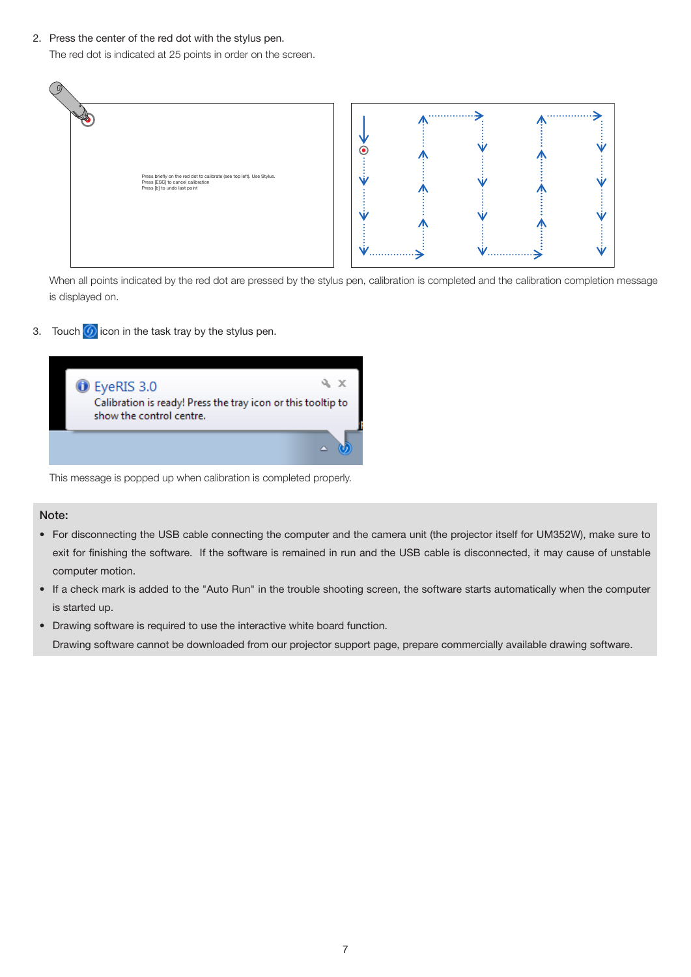2. Press the center of the red dot with the stylus pen.

The red dot is indicated at 25 points in order on the screen.



When all points indicated by the red dot are pressed by the stylus pen, calibration is completed and the calibration completion message is displayed on.

3. Touch  $\overline{6}$  icon in the task tray by the stylus pen.



This message is popped up when calibration is completed properly.

#### Note:

- • For disconnecting the USB cable connecting the computer and the camera unit (the projector itself for UM352W), make sure to exit for finishing the software. If the software is remained in run and the USB cable is disconnected, it may cause of unstable computer motion.
- If a check mark is added to the "Auto Run" in the trouble shooting screen, the software starts automatically when the computer is started up.
- Drawing software is required to use the interactive white board function. Drawing software cannot be downloaded from our projector support page, prepare commercially available drawing software.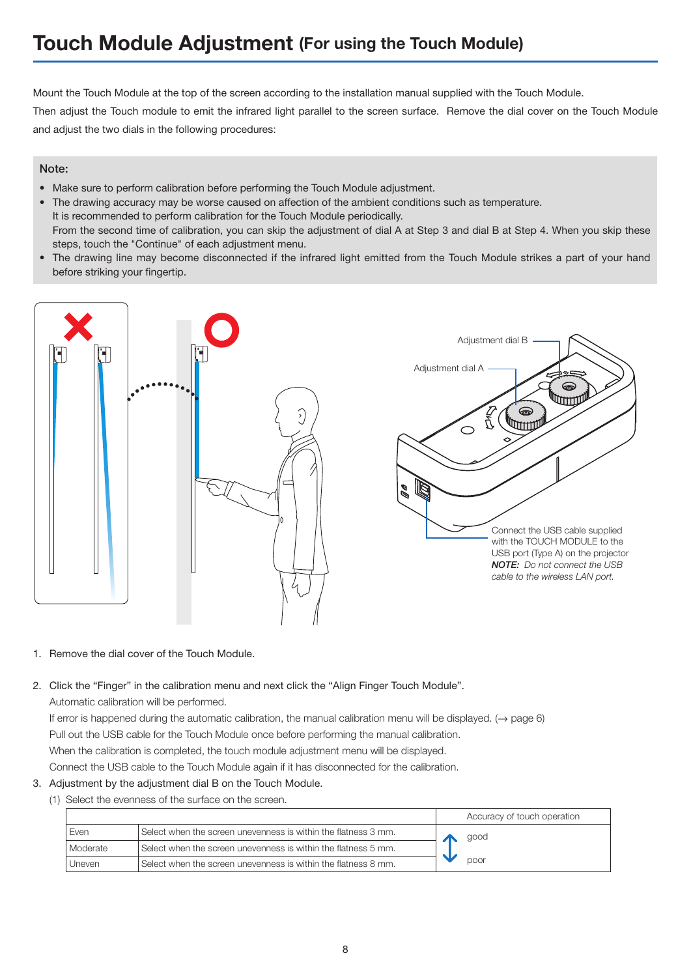## **Touch Module Adjustment (For using the Touch Module)**

Mount the Touch Module at the top of the screen according to the installation manual supplied with the Touch Module.

Then adjust the Touch module to emit the infrared light parallel to the screen surface. Remove the dial cover on the Touch Module and adjust the two dials in the following procedures:

#### Note:

- • Make sure to perform calibration before performing the Touch Module adjustment.
- The drawing accuracy may be worse caused on affection of the ambient conditions such as temperature. It is recommended to perform calibration for the Touch Module periodically. From the second time of calibration, you can skip the adjustment of dial A at Step 3 and dial B at Step 4. When you skip these steps, touch the "Continue" of each adjustment menu.
- • The drawing line may become disconnected if the infrared light emitted from the Touch Module strikes a part of your hand before striking your fingertip.



1. Remove the dial cover of the Touch Module.

#### 2. Click the "Finger" in the calibration menu and next click the "Align Finger Touch Module".

Automatic calibration will be performed.

If error is happened during the automatic calibration, the manual calibration menu will be displayed. ( $\rightarrow$  page 6) Pull out the USB cable for the Touch Module once before performing the manual calibration. When the calibration is completed, the touch module adjustment menu will be displayed. Connect the USB cable to the Touch Module again if it has disconnected for the calibration.

- 3. Adjustment by the adjustment dial B on the Touch Module.
	- (1) Select the evenness of the surface on the screen.

|          |                                                                | Accuracy of touch operation |
|----------|----------------------------------------------------------------|-----------------------------|
| Even     | Select when the screen unevenness is within the flatness 3 mm. | good                        |
| Moderate | Select when the screen unevenness is within the flatness 5 mm. |                             |
| Uneven   | Select when the screen unevenness is within the flatness 8 mm. | poor                        |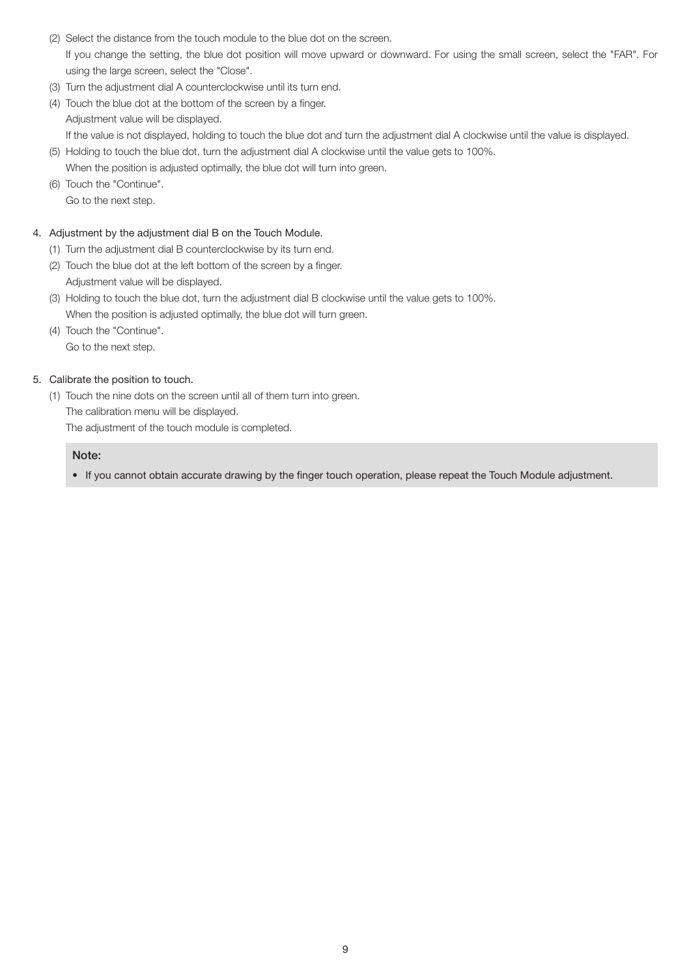- (2) Select the distance from the touch module to the blue dot on the screen. If you change the setting, the blue dot position will move upward or downward. For using the small screen, select the "FAR". For using the large screen, select the "Close".
- (3) Turn the adjustment dial A counterclockwise until its turn end.
- (4) Touch the blue dot at the bottom of the screen by a finger. Adjustment value will be displayed. If the value is not displayed, holding to touch the blue dot and turn the adjustment dial A clockwise until the value is displayed.
- (5) Holding to touch the blue dot, turn the adjustment dial A clockwise until the value gets to 100%. When the position is adjusted optimally, the blue dot will turn into green.
- (6) Touch the "Continue". Go to the next step.

#### 4. Adjustment by the adjustment dial B on the Touch Module.

- (1) Turn the adjustment dial B counterclockwise by its turn end.
- (2) Touch the blue dot at the left bottom of the screen by a finger. Adjustment value will be displayed.
- (3) Holding to touch the blue dot, turn the adjustment dial B clockwise until the value gets to 100%. When the position is adjusted optimally, the blue dot will turn green.
- (4) Touch the "Continue". Go to the next step.

#### 5. Calibrate the position to touch.

(1) Touch the nine dots on the screen until all of them turn into green.

The calibration menu will be displayed.

The adjustment of the touch module is completed.

#### Note:

• If you cannot obtain accurate drawing by the finger touch operation, please repeat the Touch Module adjustment.